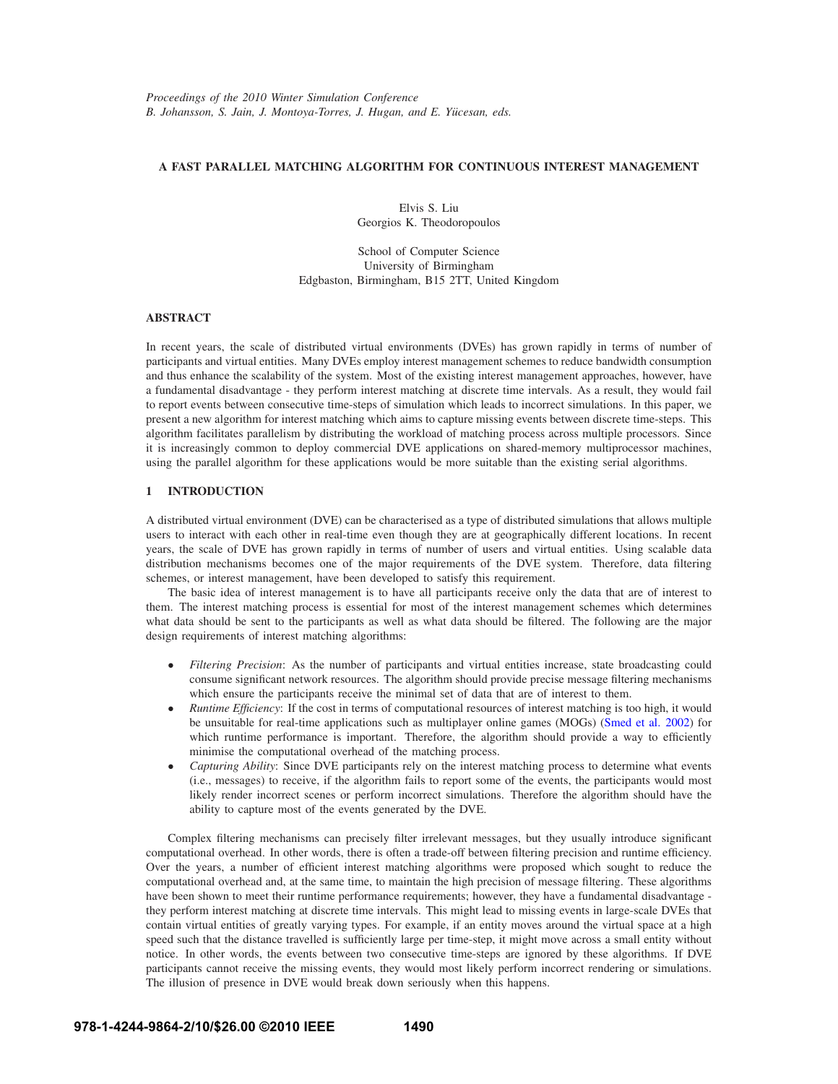# **A FAST PARALLEL MATCHING ALGORITHM FOR CONTINUOUS INTEREST MANAGEMENT**

Elvis S. Liu Georgios K. Theodoropoulos

School of Computer Science University of Birmingham Edgbaston, Birmingham, B15 2TT, United Kingdom

# **ABSTRACT**

In recent years, the scale of distributed virtual environments (DVEs) has grown rapidly in terms of number of participants and virtual entities. Many DVEs employ interest management schemes to reduce bandwidth consumption and thus enhance the scalability of the system. Most of the existing interest management approaches, however, have a fundamental disadvantage - they perform interest matching at discrete time intervals. As a result, they would fail to report events between consecutive time-steps of simulation which leads to incorrect simulations. In this paper, we present a new algorithm for interest matching which aims to capture missing events between discrete time-steps. This algorithm facilitates parallelism by distributing the workload of matching process across multiple processors. Since it is increasingly common to deploy commercial DVE applications on shared-memory multiprocessor machines, using the parallel algorithm for these applications would be more suitable than the existing serial algorithms.

# **1 INTRODUCTION**

A distributed virtual environment (DVE) can be characterised as a type of distributed simulations that allows multiple users to interact with each other in real-time even though they are at geographically different locations. In recent years, the scale of DVE has grown rapidly in terms of number of users and virtual entities. Using scalable data distribution mechanisms becomes one of the major requirements of the DVE system. Therefore, data filtering schemes, or interest management, have been developed to satisfy this requirement.

The basic idea of interest management is to have all participants receive only the data that are of interest to them. The interest matching process is essential for most of the interest management schemes which determines what data should be sent to the participants as well as what data should be filtered. The following are the major design requirements of interest matching algorithms:

- *Filtering Precision*: As the number of participants and virtual entities increase, state broadcasting could consume significant network resources. The algorithm should provide precise message filtering mechanisms which ensure the participants receive the minimal set of data that are of interest to them.
- *Runtime Efficiency*: If the cost in terms of computational resources of interest matching is too high, it would be unsuitable for real-time applications such as multiplayer online games (MOGs) (Smed et al. 2002) for which runtime performance is important. Therefore, the algorithm should provide a way to efficiently minimise the computational overhead of the matching process.
- *Capturing Ability*: Since DVE participants rely on the interest matching process to determine what events (i.e., messages) to receive, if the algorithm fails to report some of the events, the participants would most likely render incorrect scenes or perform incorrect simulations. Therefore the algorithm should have the ability to capture most of the events generated by the DVE.

Complex filtering mechanisms can precisely filter irrelevant messages, but they usually introduce significant computational overhead. In other words, there is often a trade-off between filtering precision and runtime efficiency. Over the years, a number of efficient interest matching algorithms were proposed which sought to reduce the computational overhead and, at the same time, to maintain the high precision of message filtering. These algorithms have been shown to meet their runtime performance requirements; however, they have a fundamental disadvantage they perform interest matching at discrete time intervals. This might lead to missing events in large-scale DVEs that contain virtual entities of greatly varying types. For example, if an entity moves around the virtual space at a high speed such that the distance travelled is sufficiently large per time-step, it might move across a small entity without notice. In other words, the events between two consecutive time-steps are ignored by these algorithms. If DVE participants cannot receive the missing events, they would most likely perform incorrect rendering or simulations. The illusion of presence in DVE would break down seriously when this happens.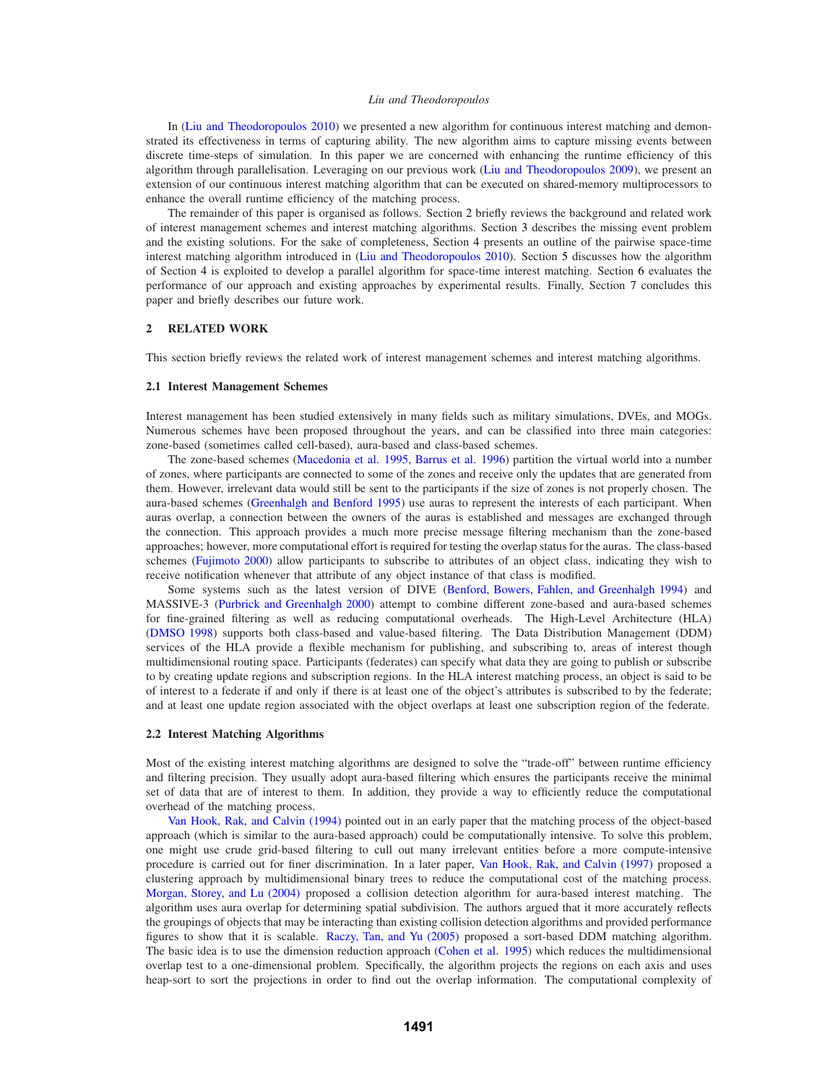In (Liu and Theodoropoulos 2010) we presented a new algorithm for continuous interest matching and demonstrated its effectiveness in terms of capturing ability. The new algorithm aims to capture missing events between discrete time-steps of simulation. In this paper we are concerned with enhancing the runtime efficiency of this algorithm through parallelisation. Leveraging on our previous work (Liu and Theodoropoulos 2009), we present an extension of our continuous interest matching algorithm that can be executed on shared-memory multiprocessors to enhance the overall runtime efficiency of the matching process.

The remainder of this paper is organised as follows. Section 2 briefly reviews the background and related work of interest management schemes and interest matching algorithms. Section 3 describes the missing event problem and the existing solutions. For the sake of completeness, Section 4 presents an outline of the pairwise space-time interest matching algorithm introduced in (Liu and Theodoropoulos 2010). Section 5 discusses how the algorithm of Section 4 is exploited to develop a parallel algorithm for space-time interest matching. Section 6 evaluates the performance of our approach and existing approaches by experimental results. Finally, Section 7 concludes this paper and briefly describes our future work.

## **2 RELATED WORK**

This section briefly reviews the related work of interest management schemes and interest matching algorithms.

### **2.1 Interest Management Schemes**

Interest management has been studied extensively in many fields such as military simulations, DVEs, and MOGs. Numerous schemes have been proposed throughout the years, and can be classified into three main categories: zone-based (sometimes called cell-based), aura-based and class-based schemes.

The zone-based schemes (Macedonia et al. 1995, Barrus et al. 1996) partition the virtual world into a number of zones, where participants are connected to some of the zones and receive only the updates that are generated from them. However, irrelevant data would still be sent to the participants if the size of zones is not properly chosen. The aura-based schemes (Greenhalgh and Benford 1995) use auras to represent the interests of each participant. When auras overlap, a connection between the owners of the auras is established and messages are exchanged through the connection. This approach provides a much more precise message filtering mechanism than the zone-based approaches; however, more computational effort is required for testing the overlap status for the auras. The class-based schemes (Fujimoto 2000) allow participants to subscribe to attributes of an object class, indicating they wish to receive notification whenever that attribute of any object instance of that class is modified.

Some systems such as the latest version of DIVE (Benford, Bowers, Fahlen, and Greenhalgh 1994) and MASSIVE-3 (Purbrick and Greenhalgh 2000) attempt to combine different zone-based and aura-based schemes for fine-grained filtering as well as reducing computational overheads. The High-Level Architecture (HLA) (DMSO 1998) supports both class-based and value-based filtering. The Data Distribution Management (DDM) services of the HLA provide a flexible mechanism for publishing, and subscribing to, areas of interest though multidimensional routing space. Participants (federates) can specify what data they are going to publish or subscribe to by creating update regions and subscription regions. In the HLA interest matching process, an object is said to be of interest to a federate if and only if there is at least one of the object's attributes is subscribed to by the federate; and at least one update region associated with the object overlaps at least one subscription region of the federate.

#### **2.2 Interest Matching Algorithms**

Most of the existing interest matching algorithms are designed to solve the "trade-off" between runtime efficiency and filtering precision. They usually adopt aura-based filtering which ensures the participants receive the minimal set of data that are of interest to them. In addition, they provide a way to efficiently reduce the computational overhead of the matching process.

Van Hook, Rak, and Calvin (1994) pointed out in an early paper that the matching process of the object-based approach (which is similar to the aura-based approach) could be computationally intensive. To solve this problem, one might use crude grid-based filtering to cull out many irrelevant entities before a more compute-intensive procedure is carried out for finer discrimination. In a later paper, Van Hook, Rak, and Calvin (1997) proposed a clustering approach by multidimensional binary trees to reduce the computational cost of the matching process. Morgan, Storey, and Lu (2004) proposed a collision detection algorithm for aura-based interest matching. The algorithm uses aura overlap for determining spatial subdivision. The authors argued that it more accurately reflects the groupings of objects that may be interacting than existing collision detection algorithms and provided performance figures to show that it is scalable. Raczy, Tan, and Yu (2005) proposed a sort-based DDM matching algorithm. The basic idea is to use the dimension reduction approach (Cohen et al. 1995) which reduces the multidimensional overlap test to a one-dimensional problem. Specifically, the algorithm projects the regions on each axis and uses heap-sort to sort the projections in order to find out the overlap information. The computational complexity of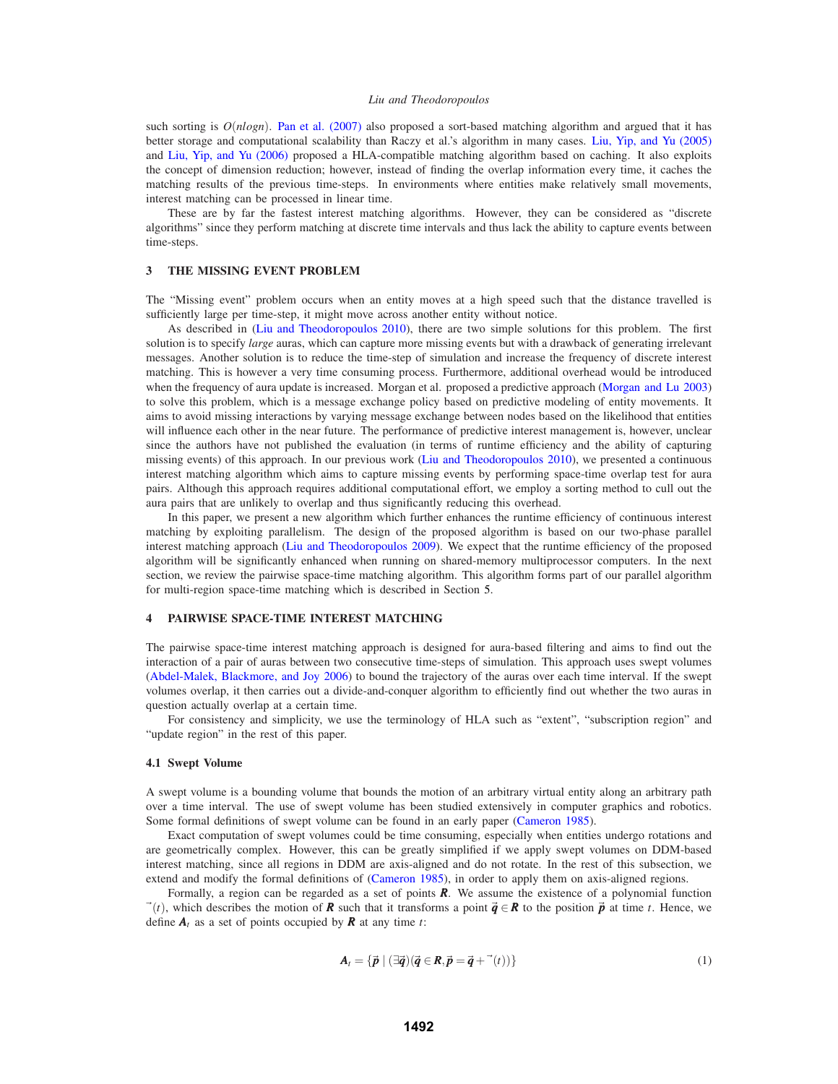such sorting is  $O(nlog n)$ . Pan et al. (2007) also proposed a sort-based matching algorithm and argued that it has better storage and computational scalability than Raczy et al.'s algorithm in many cases. Liu, Yip, and Yu (2005) and Liu, Yip, and Yu (2006) proposed a HLA-compatible matching algorithm based on caching. It also exploits the concept of dimension reduction; however, instead of finding the overlap information every time, it caches the matching results of the previous time-steps. In environments where entities make relatively small movements, interest matching can be processed in linear time.

These are by far the fastest interest matching algorithms. However, they can be considered as "discrete algorithms" since they perform matching at discrete time intervals and thus lack the ability to capture events between time-steps.

# **3 THE MISSING EVENT PROBLEM**

The "Missing event" problem occurs when an entity moves at a high speed such that the distance travelled is sufficiently large per time-step, it might move across another entity without notice.

As described in (Liu and Theodoropoulos 2010), there are two simple solutions for this problem. The first solution is to specify *large* auras, which can capture more missing events but with a drawback of generating irrelevant messages. Another solution is to reduce the time-step of simulation and increase the frequency of discrete interest matching. This is however a very time consuming process. Furthermore, additional overhead would be introduced when the frequency of aura update is increased. Morgan et al. proposed a predictive approach (Morgan and Lu 2003) to solve this problem, which is a message exchange policy based on predictive modeling of entity movements. It aims to avoid missing interactions by varying message exchange between nodes based on the likelihood that entities will influence each other in the near future. The performance of predictive interest management is, however, unclear since the authors have not published the evaluation (in terms of runtime efficiency and the ability of capturing missing events) of this approach. In our previous work (Liu and Theodoropoulos 2010), we presented a continuous interest matching algorithm which aims to capture missing events by performing space-time overlap test for aura pairs. Although this approach requires additional computational effort, we employ a sorting method to cull out the aura pairs that are unlikely to overlap and thus significantly reducing this overhead.

In this paper, we present a new algorithm which further enhances the runtime efficiency of continuous interest matching by exploiting parallelism. The design of the proposed algorithm is based on our two-phase parallel interest matching approach (Liu and Theodoropoulos 2009). We expect that the runtime efficiency of the proposed algorithm will be significantly enhanced when running on shared-memory multiprocessor computers. In the next section, we review the pairwise space-time matching algorithm. This algorithm forms part of our parallel algorithm for multi-region space-time matching which is described in Section 5.

# **4 PAIRWISE SPACE-TIME INTEREST MATCHING**

The pairwise space-time interest matching approach is designed for aura-based filtering and aims to find out the interaction of a pair of auras between two consecutive time-steps of simulation. This approach uses swept volumes (Abdel-Malek, Blackmore, and Joy 2006) to bound the trajectory of the auras over each time interval. If the swept volumes overlap, it then carries out a divide-and-conquer algorithm to efficiently find out whether the two auras in question actually overlap at a certain time.

For consistency and simplicity, we use the terminology of HLA such as "extent", "subscription region" and "update region" in the rest of this paper.

#### **4.1 Swept Volume**

A swept volume is a bounding volume that bounds the motion of an arbitrary virtual entity along an arbitrary path over a time interval. The use of swept volume has been studied extensively in computer graphics and robotics. Some formal definitions of swept volume can be found in an early paper (Cameron 1985).

Exact computation of swept volumes could be time consuming, especially when entities undergo rotations and are geometrically complex. However, this can be greatly simplified if we apply swept volumes on DDM-based interest matching, since all regions in DDM are axis-aligned and do not rotate. In the rest of this subsection, we extend and modify the formal definitions of (Cameron 1985), in order to apply them on axis-aligned regions.

Formally, a region can be regarded as a set of points *R*. We assume the existence of a polynomial function  $\vec{\tau}(t)$ , which describes the motion of **R** such that it transforms a point  $\vec{q} \in \mathbb{R}$  to the position  $\vec{p}$  at time *t*. Hence, we define  $A_t$  as a set of points occupied by  $\boldsymbol{R}$  at any time  $t$ :

$$
\mathbf{A}_t = \{ \vec{\boldsymbol{p}} \mid (\exists \vec{\boldsymbol{q}})(\vec{\boldsymbol{q}} \in \mathbf{R}, \vec{\boldsymbol{p}} = \vec{\boldsymbol{q}} + \vec{\boldsymbol{\tau}}(t)) \} \tag{1}
$$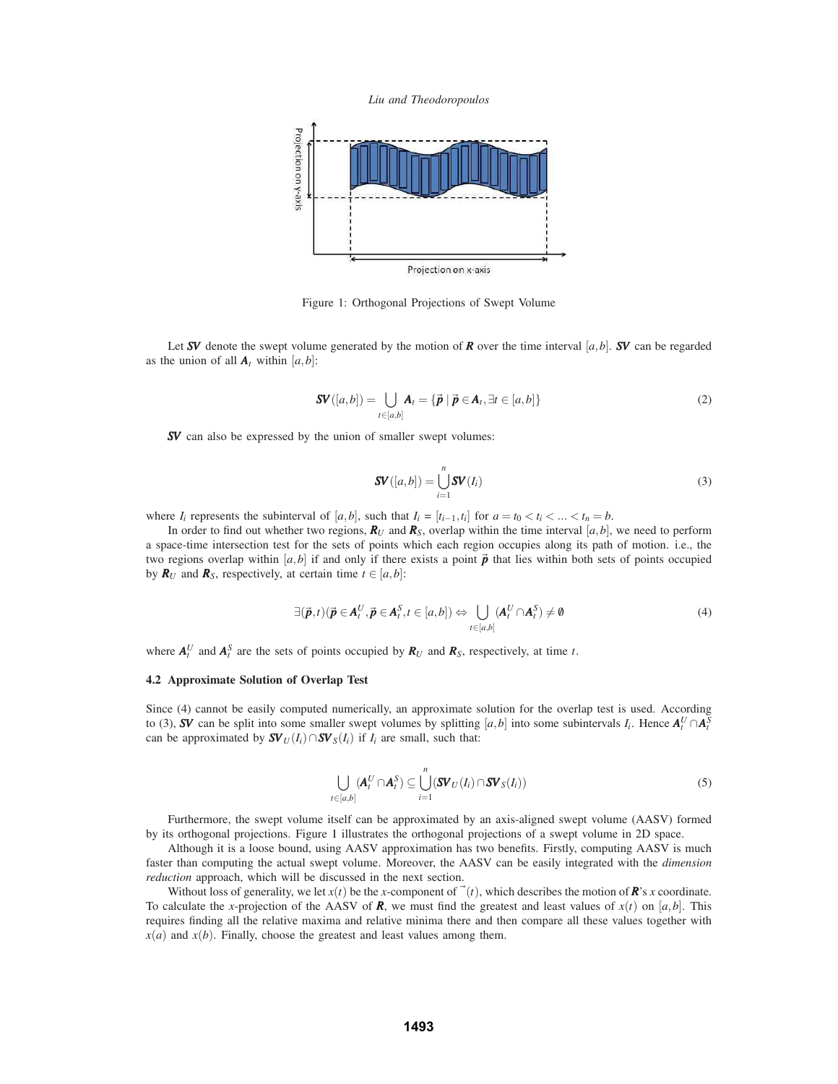*Liu and Theodoropoulos*



Figure 1: Orthogonal Projections of Swept Volume

Let **SV** denote the swept volume generated by the motion of **R** over the time interval  $[a, b]$ . **SV** can be regarded as the union of all  $A_t$  within  $[a, b]$ :

$$
\mathbf{SV}([a,b]) = \bigcup_{t \in [a,b]} \mathbf{A}_t = \{ \vec{\boldsymbol{p}} \mid \vec{\boldsymbol{p}} \in \mathbf{A}_t, \exists t \in [a,b] \} \tag{2}
$$

*SV* can also be expressed by the union of smaller swept volumes:

$$
\mathbf{SV}([a,b]) = \bigcup_{i=1}^{n} \mathbf{SV}(I_i)
$$
\n(3)

where  $I_i$  represents the subinterval of  $[a, b]$ , such that  $I_i = [t_{i-1}, t_i]$  for  $a = t_0 < t_i < ... < t_n = b$ .

In order to find out whether two regions,  $\mathbf{R}_U$  and  $\mathbf{R}_S$ , overlap within the time interval [a, b], we need to perform a space-time intersection test for the sets of points which each region occupies along its path of motion. i.e., the two regions overlap within  $[a,b]$  if and only if there exists a point  $\vec{p}$  that lies within both sets of points occupied by  $\mathbf{R}_U$  and  $\mathbf{R}_S$ , respectively, at certain time  $t \in [a, b]$ :

$$
\exists (\vec{\boldsymbol{p}},t)(\vec{\boldsymbol{p}} \in A_t^U, \vec{\boldsymbol{p}} \in A_t^S, t \in [a,b]) \Leftrightarrow \bigcup_{t \in [a,b]} (A_t^U \cap A_t^S) \neq \emptyset
$$
\n
$$
\tag{4}
$$

where  $A_t^U$  and  $A_t^S$  are the sets of points occupied by  $R_U$  and  $R_S$ , respectively, at time *t*.

# **4.2 Approximate Solution of Overlap Test**

Since (4) cannot be easily computed numerically, an approximate solution for the overlap test is used. According to (3), **SV** can be split into some smaller swept volumes by splitting [*a*,*b*] into some subintervals *I<sub>i</sub>*. Hence  $A_t^U \cap A_t^S$ can be approximated by  $\mathbf{SV}_U(I_i) \cap \mathbf{SV}_S(I_i)$  if  $I_i$  are small, such that:

$$
\bigcup_{t \in [a,b]} (\mathbf{A}_t^U \cap \mathbf{A}_t^S) \subseteq \bigcup_{i=1}^n (\mathbf{SV}_U(I_i) \cap \mathbf{SV}_S(I_i))
$$
\n(5)

Furthermore, the swept volume itself can be approximated by an axis-aligned swept volume (AASV) formed by its orthogonal projections. Figure 1 illustrates the orthogonal projections of a swept volume in 2D space.

Although it is a loose bound, using AASV approximation has two benefits. Firstly, computing AASV is much faster than computing the actual swept volume. Moreover, the AASV can be easily integrated with the *dimension reduction* approach, which will be discussed in the next section.

Without loss of generality, we let  $x(t)$  be the *x*-component of  $\vec{\tau}(t)$ , which describes the motion of  $\vec{R}$ 's *x* coordinate. To calculate the *x*-projection of the AASV of **R**, we must find the greatest and least values of  $x(t)$  on [a, b]. This requires finding all the relative maxima and relative minima there and then compare all these values together with  $x(a)$  and  $x(b)$ . Finally, choose the greatest and least values among them.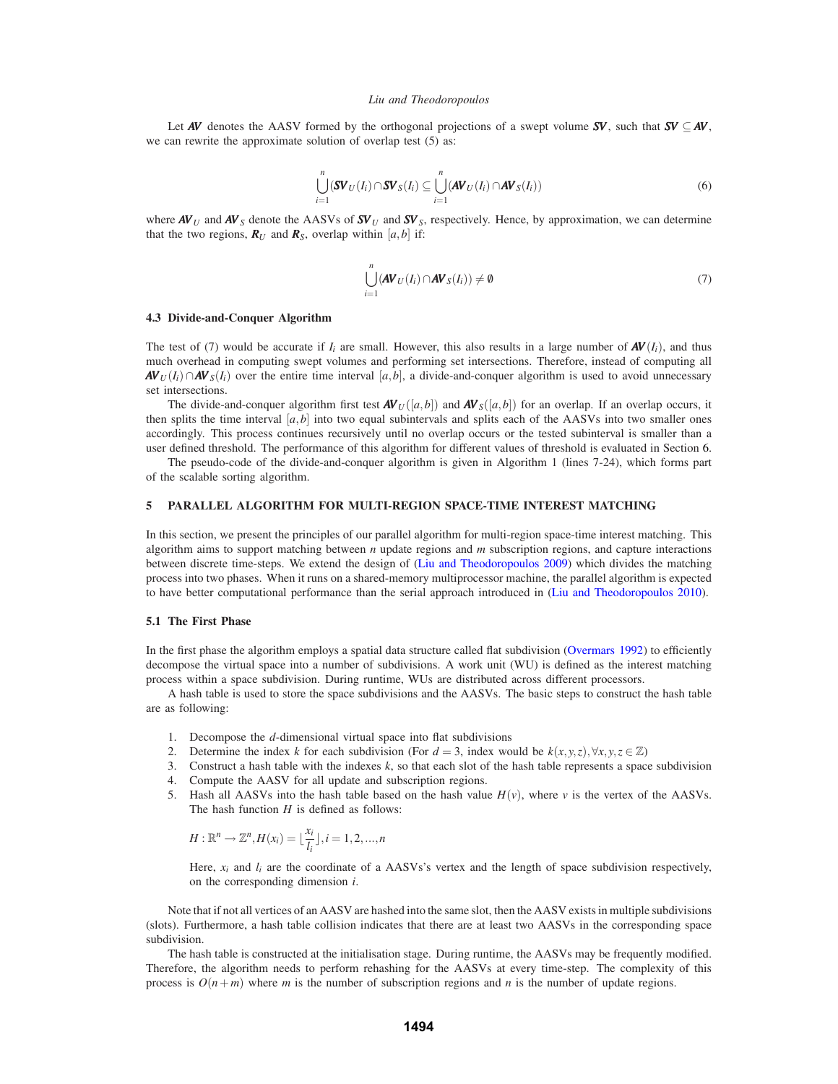Let **AV** denotes the AASV formed by the orthogonal projections of a swept volume *SV*, such that  $S$ V  $\subset$  *AV*, we can rewrite the approximate solution of overlap test (5) as:

$$
\bigcup_{i=1}^{n} (\mathbf{SV}_U(I_i) \cap \mathbf{SV}_S(I_i) \subseteq \bigcup_{i=1}^{n} (\mathbf{AV}_U(I_i) \cap \mathbf{AV}_S(I_i))
$$
\n(6)

where  $AV_U$  and  $AV_S$  denote the AASVs of  $SV_U$  and  $SV_S$ , respectively. Hence, by approximation, we can determine that the two regions,  $\mathbf{R}_U$  and  $\mathbf{R}_S$ , overlap within [a, b] if:

$$
\bigcup_{i=1}^{n} (\mathbf{AV}_U(I_i) \cap \mathbf{AV}_S(I_i)) \neq \emptyset
$$
\n(7)

### **4.3 Divide-and-Conquer Algorithm**

The test of (7) would be accurate if  $I_i$  are small. However, this also results in a large number of  $AV(I_i)$ , and thus much overhead in computing swept volumes and performing set intersections. Therefore, instead of computing all  $A\mathbf{V}_U(I_i) \cap A\mathbf{V}_S(I_i)$  over the entire time interval [*a*,*b*], a divide-and-conquer algorithm is used to avoid unnecessary set intersections.

The divide-and-conquer algorithm first test  $AV_U([a,b])$  and  $AV_S([a,b])$  for an overlap. If an overlap occurs, it then splits the time interval  $[a, b]$  into two equal subintervals and splits each of the AASVs into two smaller ones accordingly. This process continues recursively until no overlap occurs or the tested subinterval is smaller than a user defined threshold. The performance of this algorithm for different values of threshold is evaluated in Section 6.

The pseudo-code of the divide-and-conquer algorithm is given in Algorithm 1 (lines 7-24), which forms part of the scalable sorting algorithm.

### **5 PARALLEL ALGORITHM FOR MULTI-REGION SPACE-TIME INTEREST MATCHING**

In this section, we present the principles of our parallel algorithm for multi-region space-time interest matching. This algorithm aims to support matching between *n* update regions and *m* subscription regions, and capture interactions between discrete time-steps. We extend the design of (Liu and Theodoropoulos 2009) which divides the matching process into two phases. When it runs on a shared-memory multiprocessor machine, the parallel algorithm is expected to have better computational performance than the serial approach introduced in (Liu and Theodoropoulos 2010).

#### **5.1 The First Phase**

In the first phase the algorithm employs a spatial data structure called flat subdivision (Overmars 1992) to efficiently decompose the virtual space into a number of subdivisions. A work unit (WU) is defined as the interest matching process within a space subdivision. During runtime, WUs are distributed across different processors.

A hash table is used to store the space subdivisions and the AASVs. The basic steps to construct the hash table are as following:

- 1. Decompose the *d*-dimensional virtual space into flat subdivisions
- 2. Determine the index *k* for each subdivision (For  $d = 3$ , index would be  $k(x, y, z)$ ,  $\forall x, y, z \in \mathbb{Z}$ )
- 3. Construct a hash table with the indexes  $k$ , so that each slot of the hash table represents a space subdivision
- 4. Compute the AASV for all update and subscription regions.
- 5. Hash all AASVs into the hash table based on the hash value  $H(v)$ , where *v* is the vertex of the AASVs. The hash function *H* is defined as follows:

$$
H: \mathbb{R}^n \to \mathbb{Z}^n, H(x_i) = \lfloor \frac{x_i}{l_i} \rfloor, i = 1, 2, \dots, n
$$

Here,  $x_i$  and  $l_i$  are the coordinate of a AASVs's vertex and the length of space subdivision respectively, on the corresponding dimension *i*.

Note that if not all vertices of an AASV are hashed into the same slot, then the AASV exists in multiple subdivisions (slots). Furthermore, a hash table collision indicates that there are at least two AASVs in the corresponding space subdivision.

The hash table is constructed at the initialisation stage. During runtime, the AASVs may be frequently modified. Therefore, the algorithm needs to perform rehashing for the AASVs at every time-step. The complexity of this process is  $O(n+m)$  where *m* is the number of subscription regions and *n* is the number of update regions.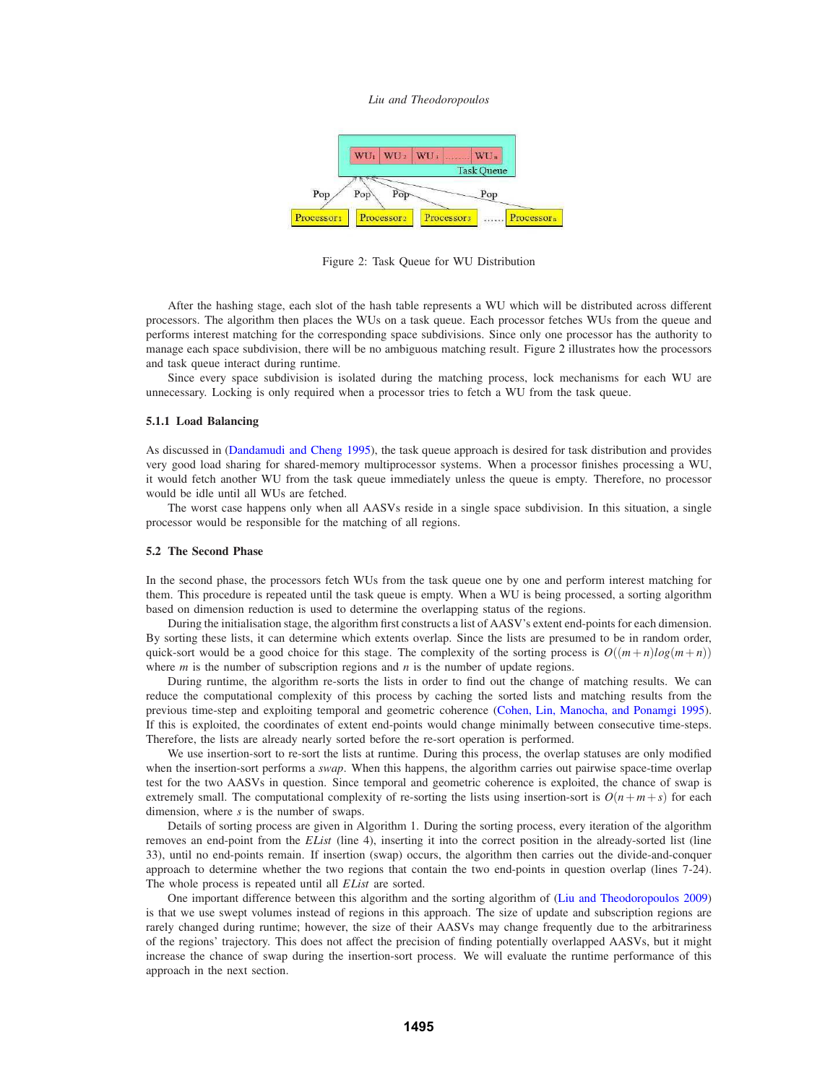

Figure 2: Task Queue for WU Distribution

After the hashing stage, each slot of the hash table represents a WU which will be distributed across different processors. The algorithm then places the WUs on a task queue. Each processor fetches WUs from the queue and performs interest matching for the corresponding space subdivisions. Since only one processor has the authority to manage each space subdivision, there will be no ambiguous matching result. Figure 2 illustrates how the processors and task queue interact during runtime.

Since every space subdivision is isolated during the matching process, lock mechanisms for each WU are unnecessary. Locking is only required when a processor tries to fetch a WU from the task queue.

### **5.1.1 Load Balancing**

As discussed in (Dandamudi and Cheng 1995), the task queue approach is desired for task distribution and provides very good load sharing for shared-memory multiprocessor systems. When a processor finishes processing a WU, it would fetch another WU from the task queue immediately unless the queue is empty. Therefore, no processor would be idle until all WUs are fetched.

The worst case happens only when all AASVs reside in a single space subdivision. In this situation, a single processor would be responsible for the matching of all regions.

### **5.2 The Second Phase**

In the second phase, the processors fetch WUs from the task queue one by one and perform interest matching for them. This procedure is repeated until the task queue is empty. When a WU is being processed, a sorting algorithm based on dimension reduction is used to determine the overlapping status of the regions.

During the initialisation stage, the algorithm first constructs a list of AASV's extent end-points for each dimension. By sorting these lists, it can determine which extents overlap. Since the lists are presumed to be in random order, quick-sort would be a good choice for this stage. The complexity of the sorting process is  $O((m+n)log(m+n))$ where *m* is the number of subscription regions and *n* is the number of update regions.

During runtime, the algorithm re-sorts the lists in order to find out the change of matching results. We can reduce the computational complexity of this process by caching the sorted lists and matching results from the previous time-step and exploiting temporal and geometric coherence (Cohen, Lin, Manocha, and Ponamgi 1995). If this is exploited, the coordinates of extent end-points would change minimally between consecutive time-steps. Therefore, the lists are already nearly sorted before the re-sort operation is performed.

We use insertion-sort to re-sort the lists at runtime. During this process, the overlap statuses are only modified when the insertion-sort performs a *swap*. When this happens, the algorithm carries out pairwise space-time overlap test for the two AASVs in question. Since temporal and geometric coherence is exploited, the chance of swap is extremely small. The computational complexity of re-sorting the lists using insertion-sort is  $O(n+m+s)$  for each dimension, where *s* is the number of swaps.

Details of sorting process are given in Algorithm 1. During the sorting process, every iteration of the algorithm removes an end-point from the *EList* (line 4), inserting it into the correct position in the already-sorted list (line 33), until no end-points remain. If insertion (swap) occurs, the algorithm then carries out the divide-and-conquer approach to determine whether the two regions that contain the two end-points in question overlap (lines 7-24). The whole process is repeated until all *EList* are sorted.

One important difference between this algorithm and the sorting algorithm of (Liu and Theodoropoulos 2009) is that we use swept volumes instead of regions in this approach. The size of update and subscription regions are rarely changed during runtime; however, the size of their AASVs may change frequently due to the arbitrariness of the regions' trajectory. This does not affect the precision of finding potentially overlapped AASVs, but it might increase the chance of swap during the insertion-sort process. We will evaluate the runtime performance of this approach in the next section.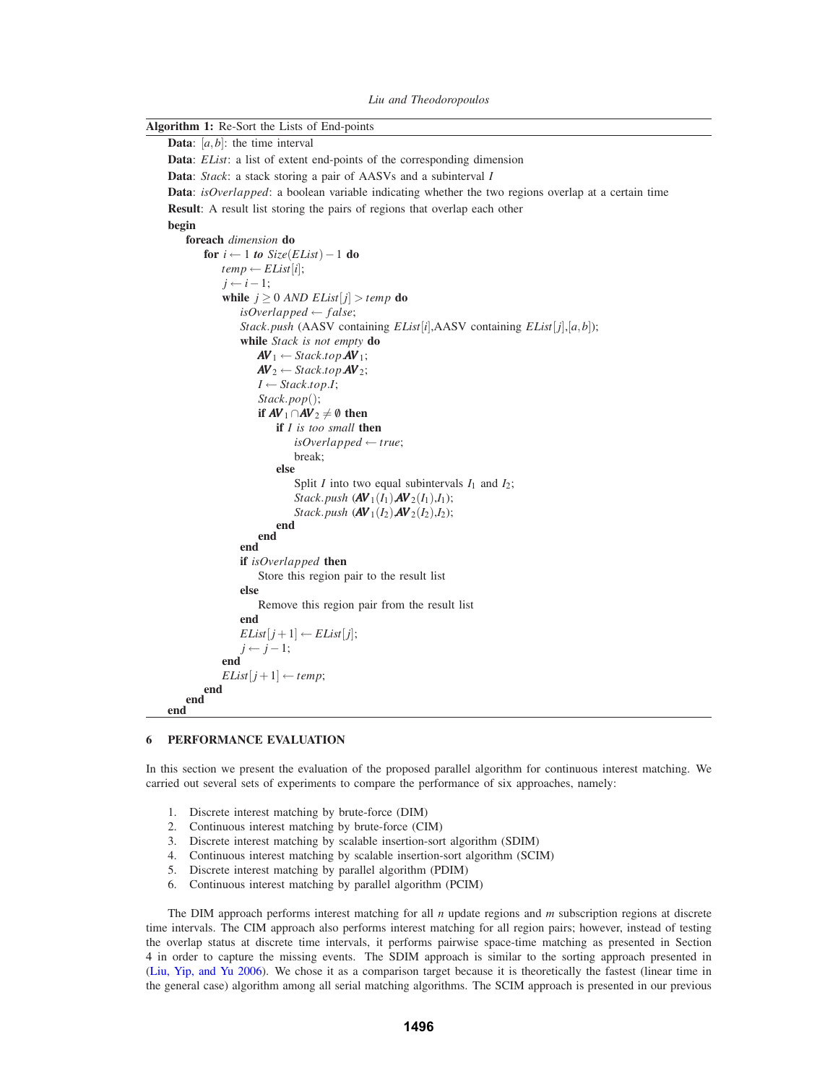| Algorithm 1: Re-Sort the Lists of End-points                                                               |
|------------------------------------------------------------------------------------------------------------|
| <b>Data:</b> $[a,b]$ : the time interval                                                                   |
| Data: EList: a list of extent end-points of the corresponding dimension                                    |
| <b>Data:</b> Stack: a stack storing a pair of AASVs and a subinterval I                                    |
| <b>Data:</b> isOverlapped: a boolean variable indicating whether the two regions overlap at a certain time |
| <b>Result:</b> A result list storing the pairs of regions that overlap each other                          |
| begin                                                                                                      |
| foreach dimension do                                                                                       |
| for $i \leftarrow 1$ to $Size(EList) - 1$ do                                                               |
| $temp \leftarrow EList[i];$                                                                                |
| $j \leftarrow i-1;$                                                                                        |
| while $j \ge 0$ AND EList[j] > temp do                                                                     |
| isOverlapped $\leftarrow$ false;                                                                           |
| <i>Stack.push</i> (AASV containing <i>EList</i> [i], AASV containing <i>EList</i> [j], $[a, b]$ );         |
| while Stack is not empty do                                                                                |
| $AV_1 \leftarrow Stack,topAV_1;$                                                                           |
| $AV_2 \leftarrow Stack,topAV_2;$                                                                           |
| $I \leftarrow Stack.top.I;$                                                                                |
| Stack.pop();                                                                                               |
| if $AV_1 \cap AV_2 \neq \emptyset$ then                                                                    |
| <b>if</b> <i>I</i> is too small <b>then</b>                                                                |
| isOverlapped $\leftarrow$ true;                                                                            |
| break;<br>else                                                                                             |
| Split I into two equal subintervals $I_1$ and $I_2$ ;                                                      |
| <i>Stack.push</i> $(AV_1(I_1)$ , $AV_2(I_1)$ , $I_1$ ;                                                     |
| <i>Stack.push</i> $(AV_1(I_2),AV_2(I_2),I_2)$ ;                                                            |
| end                                                                                                        |
| end                                                                                                        |
| end                                                                                                        |
| if is Overlapped then                                                                                      |
| Store this region pair to the result list                                                                  |
| else<br>Remove this region pair from the result list                                                       |
| end                                                                                                        |
| $EList[j+1] \leftarrow EList[j];$                                                                          |
| $j \leftarrow j-1;$                                                                                        |
| end                                                                                                        |
| $EList[j+1] \leftarrow temp;$                                                                              |
| end                                                                                                        |
| end                                                                                                        |
| end                                                                                                        |

## **6 PERFORMANCE EVALUATION**

In this section we present the evaluation of the proposed parallel algorithm for continuous interest matching. We carried out several sets of experiments to compare the performance of six approaches, namely:

- 1. Discrete interest matching by brute-force (DIM)
- 2. Continuous interest matching by brute-force (CIM)
- 3. Discrete interest matching by scalable insertion-sort algorithm (SDIM)
- 4. Continuous interest matching by scalable insertion-sort algorithm (SCIM)
- 5. Discrete interest matching by parallel algorithm (PDIM)
- 6. Continuous interest matching by parallel algorithm (PCIM)

The DIM approach performs interest matching for all *n* update regions and *m* subscription regions at discrete time intervals. The CIM approach also performs interest matching for all region pairs; however, instead of testing the overlap status at discrete time intervals, it performs pairwise space-time matching as presented in Section 4 in order to capture the missing events. The SDIM approach is similar to the sorting approach presented in (Liu, Yip, and Yu 2006). We chose it as a comparison target because it is theoretically the fastest (linear time in the general case) algorithm among all serial matching algorithms. The SCIM approach is presented in our previous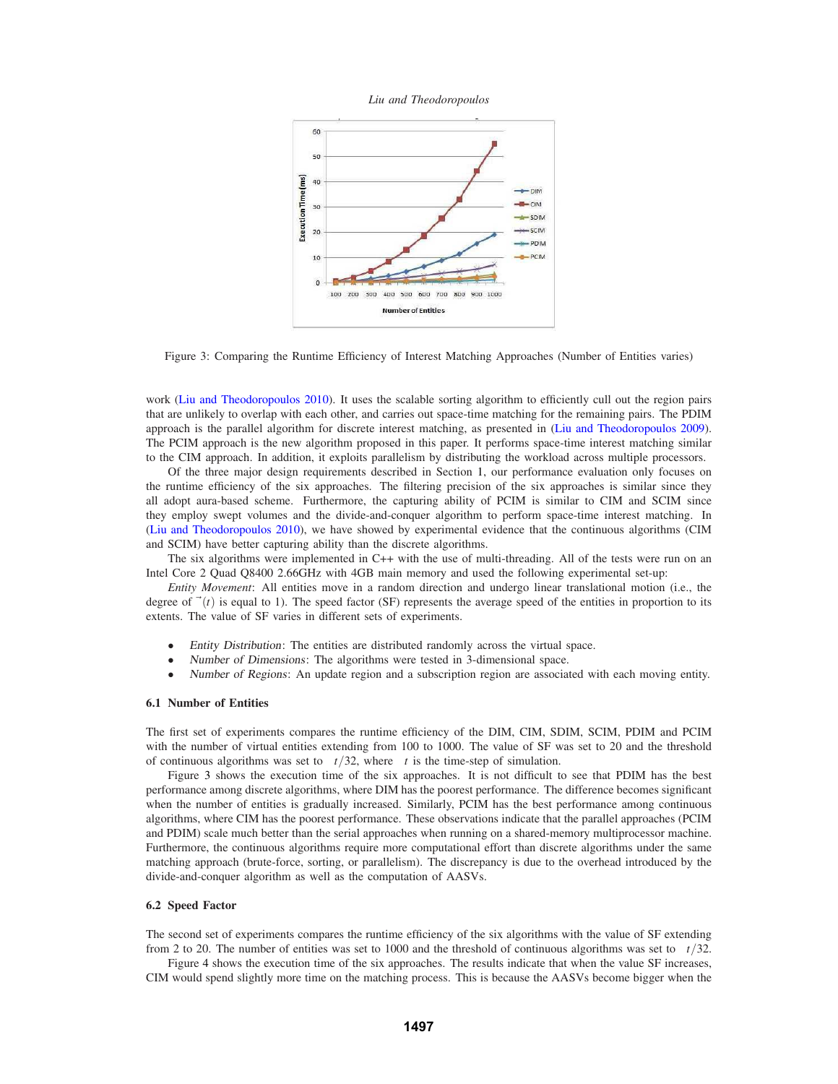



Figure 3: Comparing the Runtime Efficiency of Interest Matching Approaches (Number of Entities varies)

work (Liu and Theodoropoulos 2010). It uses the scalable sorting algorithm to efficiently cull out the region pairs that are unlikely to overlap with each other, and carries out space-time matching for the remaining pairs. The PDIM approach is the parallel algorithm for discrete interest matching, as presented in (Liu and Theodoropoulos 2009). The PCIM approach is the new algorithm proposed in this paper. It performs space-time interest matching similar to the CIM approach. In addition, it exploits parallelism by distributing the workload across multiple processors.

Of the three major design requirements described in Section 1, our performance evaluation only focuses on the runtime efficiency of the six approaches. The filtering precision of the six approaches is similar since they all adopt aura-based scheme. Furthermore, the capturing ability of PCIM is similar to CIM and SCIM since they employ swept volumes and the divide-and-conquer algorithm to perform space-time interest matching. In (Liu and Theodoropoulos 2010), we have showed by experimental evidence that the continuous algorithms (CIM and SCIM) have better capturing ability than the discrete algorithms.

The six algorithms were implemented in C++ with the use of multi-threading. All of the tests were run on an Intel Core 2 Quad Q8400 2.66GHz with 4GB main memory and used the following experimental set-up:

*Entity Movement*: All entities move in a random direction and undergo linear translational motion (i.e., the degree of  $\vec{\tau}(t)$  is equal to 1). The speed factor (SF) represents the average speed of the entities in proportion to its extents. The value of SF varies in different sets of experiments.

- Entity Distribution: The entities are distributed randomly across the virtual space.
- Number of Dimensions: The algorithms were tested in 3-dimensional space.
- Number of Regions: An update region and a subscription region are associated with each moving entity.

### **6.1 Number of Entities**

The first set of experiments compares the runtime efficiency of the DIM, CIM, SDIM, SCIM, PDIM and PCIM with the number of virtual entities extending from 100 to 1000. The value of SF was set to 20 and the threshold of continuous algorithms was set to  $\delta t/32$ , where  $\delta t$  is the time-step of simulation.

Figure 3 shows the execution time of the six approaches. It is not difficult to see that PDIM has the best performance among discrete algorithms, where DIM has the poorest performance. The difference becomes significant when the number of entities is gradually increased. Similarly, PCIM has the best performance among continuous algorithms, where CIM has the poorest performance. These observations indicate that the parallel approaches (PCIM and PDIM) scale much better than the serial approaches when running on a shared-memory multiprocessor machine. Furthermore, the continuous algorithms require more computational effort than discrete algorithms under the same matching approach (brute-force, sorting, or parallelism). The discrepancy is due to the overhead introduced by the divide-and-conquer algorithm as well as the computation of AASVs.

### **6.2 Speed Factor**

The second set of experiments compares the runtime efficiency of the six algorithms with the value of SF extending from 2 to 20. The number of entities was set to 1000 and the threshold of continuous algorithms was set to  $\delta t/32$ .

Figure 4 shows the execution time of the six approaches. The results indicate that when the value SF increases, CIM would spend slightly more time on the matching process. This is because the AASVs become bigger when the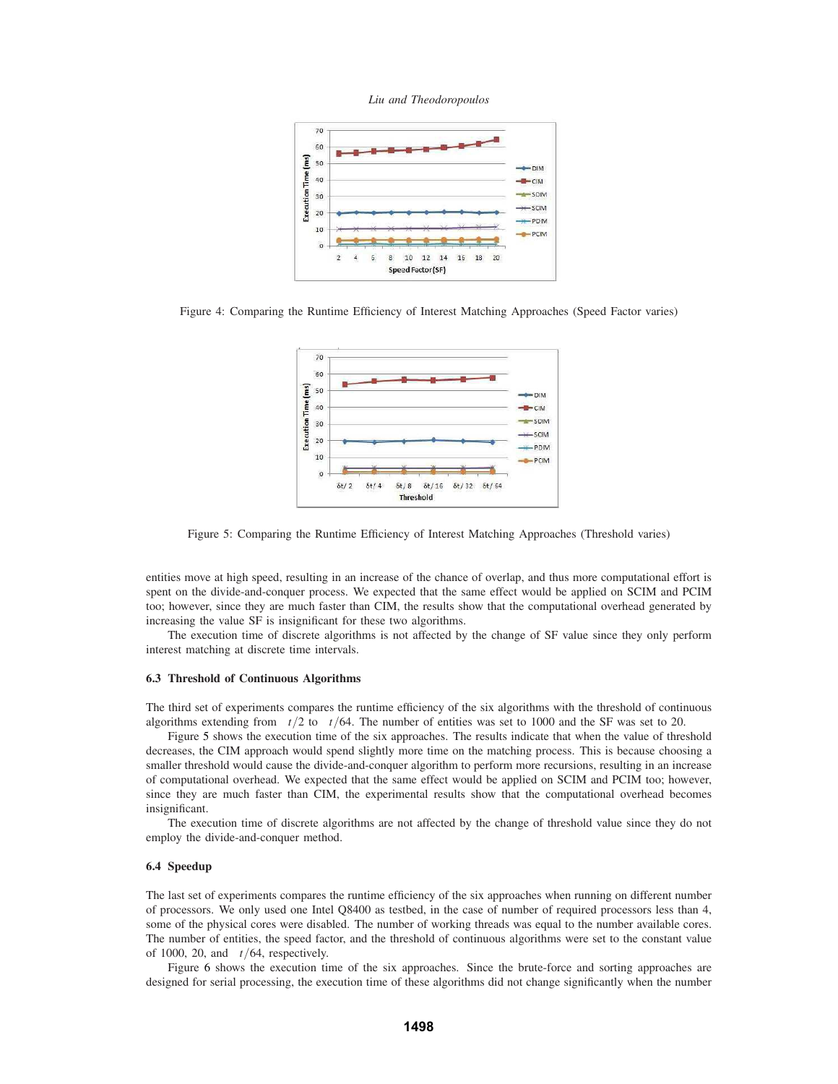*Liu and Theodoropoulos*



Figure 4: Comparing the Runtime Efficiency of Interest Matching Approaches (Speed Factor varies)



Figure 5: Comparing the Runtime Efficiency of Interest Matching Approaches (Threshold varies)

entities move at high speed, resulting in an increase of the chance of overlap, and thus more computational effort is spent on the divide-and-conquer process. We expected that the same effect would be applied on SCIM and PCIM too; however, since they are much faster than CIM, the results show that the computational overhead generated by increasing the value SF is insignificant for these two algorithms.

The execution time of discrete algorithms is not affected by the change of SF value since they only perform interest matching at discrete time intervals.

#### **6.3 Threshold of Continuous Algorithms**

The third set of experiments compares the runtime efficiency of the six algorithms with the threshold of continuous algorithms extending from  $\delta t/2$  to  $\delta t/64$ . The number of entities was set to 1000 and the SF was set to 20.

Figure 5 shows the execution time of the six approaches. The results indicate that when the value of threshold decreases, the CIM approach would spend slightly more time on the matching process. This is because choosing a smaller threshold would cause the divide-and-conquer algorithm to perform more recursions, resulting in an increase of computational overhead. We expected that the same effect would be applied on SCIM and PCIM too; however, since they are much faster than CIM, the experimental results show that the computational overhead becomes insignificant.

The execution time of discrete algorithms are not affected by the change of threshold value since they do not employ the divide-and-conquer method.

### **6.4 Speedup**

The last set of experiments compares the runtime efficiency of the six approaches when running on different number of processors. We only used one Intel Q8400 as testbed, in the case of number of required processors less than 4, some of the physical cores were disabled. The number of working threads was equal to the number available cores. The number of entities, the speed factor, and the threshold of continuous algorithms were set to the constant value of 1000, 20, and δ*t*/64, respectively.

Figure 6 shows the execution time of the six approaches. Since the brute-force and sorting approaches are designed for serial processing, the execution time of these algorithms did not change significantly when the number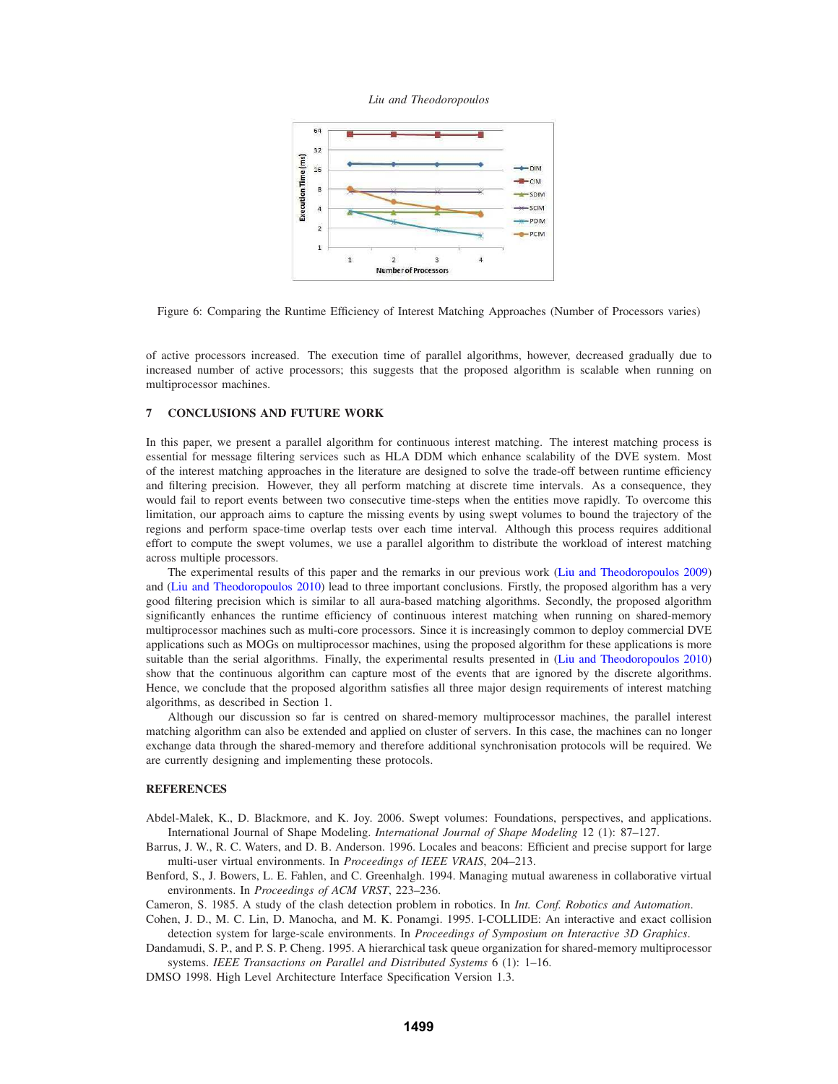*Liu and Theodoropoulos*



Figure 6: Comparing the Runtime Efficiency of Interest Matching Approaches (Number of Processors varies)

of active processors increased. The execution time of parallel algorithms, however, decreased gradually due to increased number of active processors; this suggests that the proposed algorithm is scalable when running on multiprocessor machines.

# **7 CONCLUSIONS AND FUTURE WORK**

In this paper, we present a parallel algorithm for continuous interest matching. The interest matching process is essential for message filtering services such as HLA DDM which enhance scalability of the DVE system. Most of the interest matching approaches in the literature are designed to solve the trade-off between runtime efficiency and filtering precision. However, they all perform matching at discrete time intervals. As a consequence, they would fail to report events between two consecutive time-steps when the entities move rapidly. To overcome this limitation, our approach aims to capture the missing events by using swept volumes to bound the trajectory of the regions and perform space-time overlap tests over each time interval. Although this process requires additional effort to compute the swept volumes, we use a parallel algorithm to distribute the workload of interest matching across multiple processors.

The experimental results of this paper and the remarks in our previous work (Liu and Theodoropoulos 2009) and (Liu and Theodoropoulos 2010) lead to three important conclusions. Firstly, the proposed algorithm has a very good filtering precision which is similar to all aura-based matching algorithms. Secondly, the proposed algorithm significantly enhances the runtime efficiency of continuous interest matching when running on shared-memory multiprocessor machines such as multi-core processors. Since it is increasingly common to deploy commercial DVE applications such as MOGs on multiprocessor machines, using the proposed algorithm for these applications is more suitable than the serial algorithms. Finally, the experimental results presented in (Liu and Theodoropoulos 2010) show that the continuous algorithm can capture most of the events that are ignored by the discrete algorithms. Hence, we conclude that the proposed algorithm satisfies all three major design requirements of interest matching algorithms, as described in Section 1.

Although our discussion so far is centred on shared-memory multiprocessor machines, the parallel interest matching algorithm can also be extended and applied on cluster of servers. In this case, the machines can no longer exchange data through the shared-memory and therefore additional synchronisation protocols will be required. We are currently designing and implementing these protocols.

# **REFERENCES**

Abdel-Malek, K., D. Blackmore, and K. Joy. 2006. Swept volumes: Foundations, perspectives, and applications. International Journal of Shape Modeling. *International Journal of Shape Modeling* 12 (1): 87–127.

Barrus, J. W., R. C. Waters, and D. B. Anderson. 1996. Locales and beacons: Efficient and precise support for large multi-user virtual environments. In *Proceedings of IEEE VRAIS*, 204–213.

Benford, S., J. Bowers, L. E. Fahlen, and C. Greenhalgh. 1994. Managing mutual awareness in collaborative virtual environments. In *Proceedings of ACM VRST*, 223–236.

Cameron, S. 1985. A study of the clash detection problem in robotics. In *Int. Conf. Robotics and Automation*.

Cohen, J. D., M. C. Lin, D. Manocha, and M. K. Ponamgi. 1995. I-COLLIDE: An interactive and exact collision detection system for large-scale environments. In *Proceedings of Symposium on Interactive 3D Graphics*.

Dandamudi, S. P., and P. S. P. Cheng. 1995. A hierarchical task queue organization for shared-memory multiprocessor systems. *IEEE Transactions on Parallel and Distributed Systems* 6 (1): 1–16.

DMSO 1998. High Level Architecture Interface Specification Version 1.3.